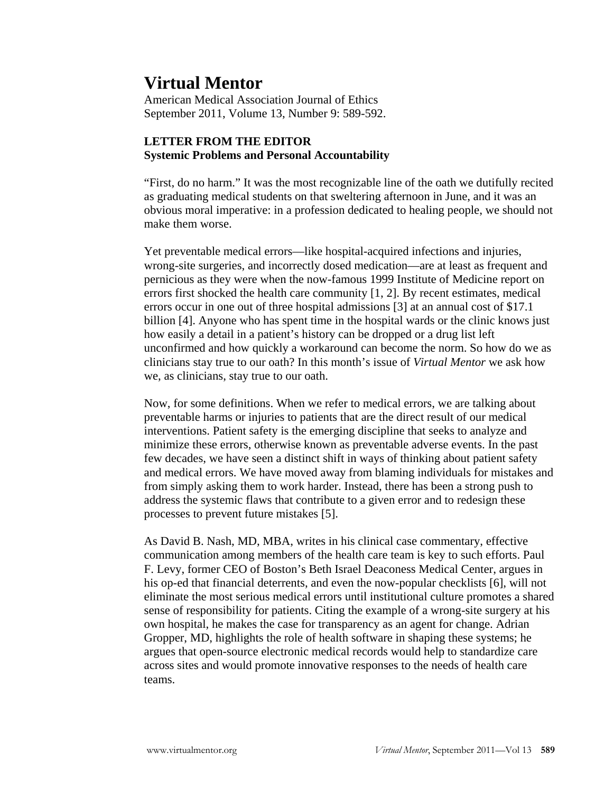## **Virtual Mentor**

American Medical Association Journal of Ethics September 2011, Volume 13, Number 9: 589-592.

## **LETTER FROM THE EDITOR Systemic Problems and Personal Accountability**

"First, do no harm." It was the most recognizable line of the oath we dutifully recited as graduating medical students on that sweltering afternoon in June, and it was an obvious moral imperative: in a profession dedicated to healing people, we should not make them worse.

Yet preventable medical errors—like hospital-acquired infections and injuries, wrong-site surgeries, and incorrectly dosed medication—are at least as frequent and pernicious as they were when the now-famous 1999 Institute of Medicine report on errors first shocked the health care community [1, 2]. By recent estimates, medical errors occur in one out of three hospital admissions [3] at an annual cost of \$17.1 billion [4]. Anyone who has spent time in the hospital wards or the clinic knows just how easily a detail in a patient's history can be dropped or a drug list left unconfirmed and how quickly a workaround can become the norm. So how do we as clinicians stay true to our oath? In this month's issue of *Virtual Mentor* we ask how we, as clinicians, stay true to our oath.

Now, for some definitions. When we refer to medical errors, we are talking about preventable harms or injuries to patients that are the direct result of our medical interventions. Patient safety is the emerging discipline that seeks to analyze and minimize these errors, otherwise known as preventable adverse events. In the past few decades, we have seen a distinct shift in ways of thinking about patient safety and medical errors. We have moved away from blaming individuals for mistakes and from simply asking them to work harder. Instead, there has been a strong push to address the systemic flaws that contribute to a given error and to redesign these processes to prevent future mistakes [5].

As David B. Nash, MD, MBA, writes in his clinical case commentary, effective communication among members of the health care team is key to such efforts. Paul F. Levy, former CEO of Boston's Beth Israel Deaconess Medical Center, argues in his op-ed that financial deterrents, and even the now-popular checklists [6], will not eliminate the most serious medical errors until institutional culture promotes a shared sense of responsibility for patients. Citing the example of a wrong-site surgery at his own hospital, he makes the case for transparency as an agent for change. Adrian Gropper, MD, highlights the role of health software in shaping these systems; he argues that open-source electronic medical records would help to standardize care across sites and would promote innovative responses to the needs of health care teams.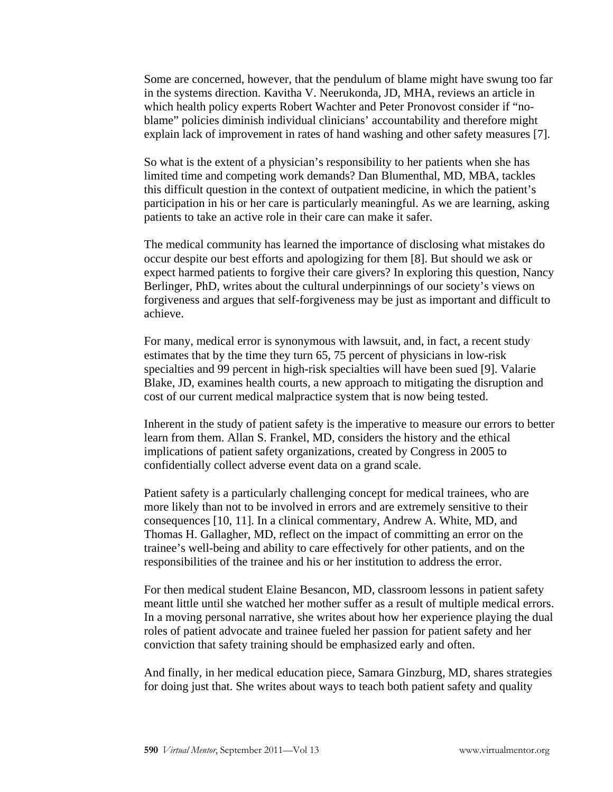Some are concerned, however, that the pendulum of blame might have swung too far in the systems direction. Kavitha V. Neerukonda, JD, MHA, reviews an article in which health policy experts Robert Wachter and Peter Pronovost consider if "noblame" policies diminish individual clinicians' accountability and therefore might explain lack of improvement in rates of hand washing and other safety measures [7].

So what is the extent of a physician's responsibility to her patients when she has limited time and competing work demands? Dan Blumenthal, MD, MBA, tackles this difficult question in the context of outpatient medicine, in which the patient's participation in his or her care is particularly meaningful. As we are learning, asking patients to take an active role in their care can make it safer.

The medical community has learned the importance of disclosing what mistakes do occur despite our best efforts and apologizing for them [8]. But should we ask or expect harmed patients to forgive their care givers? In exploring this question, Nancy Berlinger, PhD, writes about the cultural underpinnings of our society's views on forgiveness and argues that self-forgiveness may be just as important and difficult to achieve.

For many, medical error is synonymous with lawsuit, and, in fact, a recent study estimates that by the time they turn 65, 75 percent of physicians in low-risk specialties and 99 percent in high-risk specialties will have been sued [9]. Valarie Blake, JD, examines health courts, a new approach to mitigating the disruption and cost of our current medical malpractice system that is now being tested.

Inherent in the study of patient safety is the imperative to measure our errors to better learn from them. Allan S. Frankel, MD, considers the history and the ethical implications of patient safety organizations, created by Congress in 2005 to confidentially collect adverse event data on a grand scale.

Patient safety is a particularly challenging concept for medical trainees, who are more likely than not to be involved in errors and are extremely sensitive to their consequences [10, 11]. In a clinical commentary, Andrew A. White, MD, and Thomas H. Gallagher, MD, reflect on the impact of committing an error on the trainee's well-being and ability to care effectively for other patients, and on the responsibilities of the trainee and his or her institution to address the error.

For then medical student Elaine Besancon, MD, classroom lessons in patient safety meant little until she watched her mother suffer as a result of multiple medical errors. In a moving personal narrative, she writes about how her experience playing the dual roles of patient advocate and trainee fueled her passion for patient safety and her conviction that safety training should be emphasized early and often.

And finally, in her medical education piece, Samara Ginzburg, MD, shares strategies for doing just that. She writes about ways to teach both patient safety and quality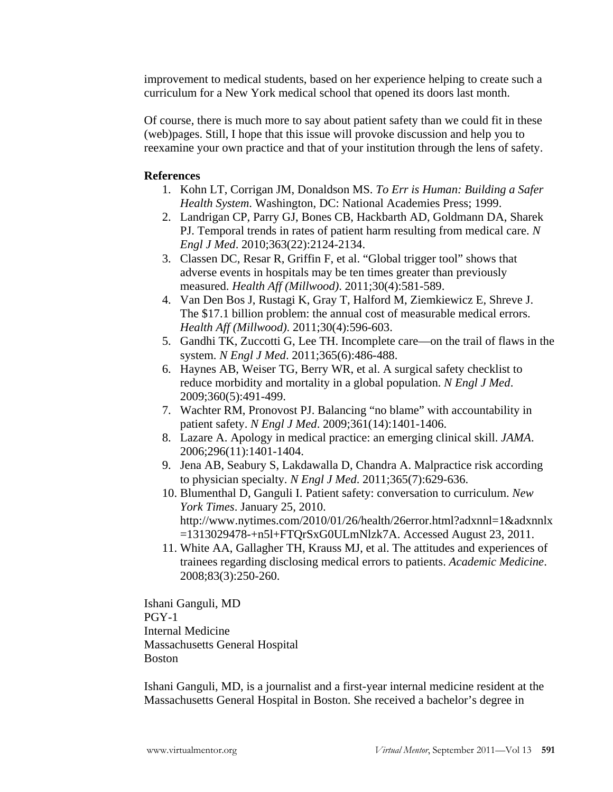improvement to medical students, based on her experience helping to create such a curriculum for a New York medical school that opened its doors last month.

Of course, there is much more to say about patient safety than we could fit in these (web)pages. Still, I hope that this issue will provoke discussion and help you to reexamine your own practice and that of your institution through the lens of safety.

## **References**

- 1. Kohn LT, Corrigan JM, Donaldson MS. *To Err is Human: Building a Safer Health System*. Washington, DC: National Academies Press; 1999.
- 2. Landrigan CP, Parry GJ, Bones CB, Hackbarth AD, Goldmann DA, Sharek PJ. Temporal trends in rates of patient harm resulting from medical care. *N Engl J Med*. 2010;363(22):2124-2134.
- 3. Classen DC, Resar R, Griffin F, et al. "Global trigger tool" shows that adverse events in hospitals may be ten times greater than previously measured. *Health Aff (Millwood)*. 2011;30(4):581-589.
- 4. Van Den Bos J, Rustagi K, Gray T, Halford M, Ziemkiewicz E, Shreve J. The \$17.1 billion problem: the annual cost of measurable medical errors. *Health Aff (Millwood)*. 2011;30(4):596-603.
- 5. Gandhi TK, Zuccotti G, Lee TH. Incomplete care—on the trail of flaws in the system. *N Engl J Med*. 2011;365(6):486-488.
- 6. Haynes AB, Weiser TG, Berry WR, et al. A surgical safety checklist to reduce morbidity and mortality in a global population. *N Engl J Med*. 2009;360(5):491-499.
- 7. Wachter RM, Pronovost PJ. Balancing "no blame" with accountability in patient safety. *N Engl J Med*. 2009;361(14):1401-1406.
- 8. Lazare A. Apology in medical practice: an emerging clinical skill. *JAMA*. 2006;296(11):1401-1404.
- 9. Jena AB, Seabury S, Lakdawalla D, Chandra A. Malpractice risk according to physician specialty. *N Engl J Med*. 2011;365(7):629-636.
- 10. Blumenthal D, Ganguli I. Patient safety: conversation to curriculum. *New York Times*. January 25, 2010. http://www.nytimes.com/2010/01/26/health/26error.html?adxnnl=1&adxnnlx =1313029478-+n5l+FTQrSxG0ULmNlzk7A. Accessed August 23, 2011.
- 11. White AA, Gallagher TH, Krauss MJ, et al. The attitudes and experiences of trainees regarding disclosing medical errors to patients. *Academic Medicine*. 2008;83(3):250-260.

Ishani Ganguli, MD PGY-1 Internal Medicine Massachusetts General Hospital Boston

Ishani Ganguli, MD, is a journalist and a first-year internal medicine resident at the Massachusetts General Hospital in Boston. She received a bachelor's degree in